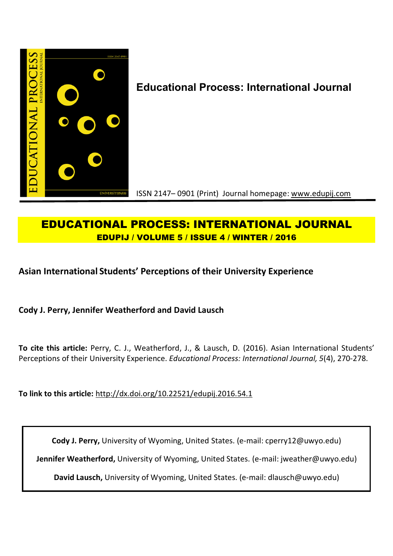

# **EDUCATIONAL PROCESS: INTERNATIONAL JOURNAL EDUPIJ / VOLUME 5 / ISSUE 4 / WINTER / 2016**

# **Asian International Students' Perceptions of their University Experience**

**Cody J. Perry, Jennifer Weatherford and David Lausch**

**To cite this article:** Perry, C. J., Weatherford, J., & Lausch, D. (2016). Asian International Students' Perceptions of their University Experience. *Educational Process: International Journal, 5*(4), 270-278.

**To link to this article:** http://dx.doi.org/10.22521/edupij.2016.54.1

**Cody J. Perry,** University of Wyoming, United States. (e-mail: cperry12@uwyo.edu)

**Jennifer Weatherford,** University of Wyoming, United States. (e-mail: jweather@uwyo.edu)

**David Lausch,** University of Wyoming, United States. (e-mail: dlausch@uwyo.edu)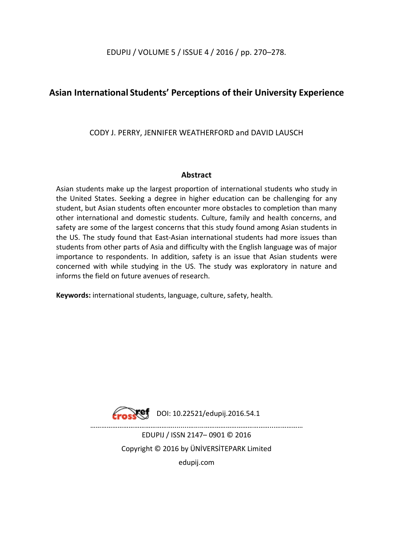EDUPIJ / VOLUME 5 / ISSUE 4 / 2016 / pp. 270–278.

## **Asian International Students' Perceptions of their University Experience**

CODY J. PERRY, JENNIFER WEATHERFORD and DAVID LAUSCH

## **Abstract**

Asian students make up the largest proportion of international students who study in the United States. Seeking a degree in higher education can be challenging for any student, but Asian students often encounter more obstacles to completion than many other international and domestic students. Culture, family and health concerns, and safety are some of the largest concerns that this study found among Asian students in the US. The study found that East-Asian international students had more issues than students from other parts of Asia and difficulty with the English language was of major importance to respondents. In addition, safety is an issue that Asian students were concerned with while studying in the US. The study was exploratory in nature and informs the field on future avenues of research.

**Keywords:** international students, language, culture, safety, health.



………………………………………........….....………………………………...…………… EDUPIJ / ISSN 2147– 0901 © 2016

> Copyright © 2016 by ÜNİVERSİTEPARK Limited edupij.com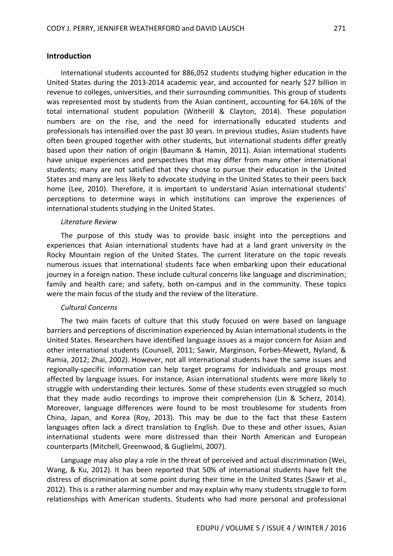### **Introduction**

International students accounted for 886,052 students studying higher education in the United States during the 2013-2014 academic year, and accounted for nearly \$27 billion in revenue to colleges, universities, and their surrounding communities. This group of students was represented most by students from the Asian continent, accounting for 64.16% of the total international student population (Witherill & Clayton, 2014). These population numbers are on the rise, and the need for internationally educated students and professionals has intensified over the past 30 years. In previous studies, Asian students have often been grouped together with other students, but international students differ greatly based upon their nation of origin (Baumann & Hamin, 2011). Asian international students have unique experiences and perspectives that may differ from many other international students; many are not satisfied that they chose to pursue their education in the United States and many are less likely to advocate studying in the United States to their peers back home (Lee, 2010). Therefore, it is important to understand Asian international students' perceptions to determine ways in which institutions can improve the experiences of international students studying in the United States.

#### *Literature Review*

The purpose of this study was to provide basic insight into the perceptions and experiences that Asian international students have had at a land grant university in the Rocky Mountain region of the United States. The current literature on the topic reveals numerous issues that international students face when embarking upon their educational journey in a foreign nation. These include cultural concerns like language and discrimination; family and health care; and safety, both on-campus and in the community. These topics were the main focus of the study and the review of the literature.

#### *Cultural Concerns*

The two main facets of culture that this study focused on were based on language barriers and perceptions of discrimination experienced by Asian international students in the United States. Researchers have identified language issues as a major concern for Asian and other international students (Counsell, 2011; Sawir, Marginson, Forbes-Mewett, Nyland, & Ramia, 2012; Zhai, 2002). However, not all international students have the same issues and regionally-specific information can help target programs for individuals and groups most affected by language issues. For instance, Asian international students were more likely to struggle with understanding their lectures. Some of these students even struggled so much that they made audio recordings to improve their comprehension (Lin & Scherz, 2014). Moreover, language differences were found to be most troublesome for students from China, Japan, and Korea (Roy, 2013). This may be due to the fact that these Eastern languages often lack a direct translation to English. Due to these and other issues, Asian international students were more distressed than their North American and European counterparts (Mitchell, Greenwood, & Guglielmi, 2007).

Language may also play a role in the threat of perceived and actual discrimination (Wei, Wang, & Ku, 2012). It has been reported that 50% of international students have felt the distress of discrimination at some point during their time in the United States (Sawir et al., 2012). This is a rather alarming number and may explain why many students struggle to form relationships with American students. Students who had more personal and professional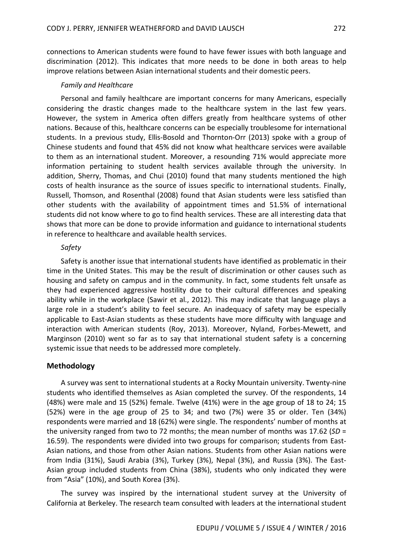connections to American students were found to have fewer issues with both language and discrimination (2012). This indicates that more needs to be done in both areas to help improve relations between Asian international students and their domestic peers.

#### *Family and Healthcare*

Personal and family healthcare are important concerns for many Americans, especially considering the drastic changes made to the healthcare system in the last few years. However, the system in America often differs greatly from healthcare systems of other nations. Because of this, healthcare concerns can be especially troublesome for international students. In a previous study, Ellis-Bosold and Thornton-Orr (2013) spoke with a group of Chinese students and found that 45% did not know what healthcare services were available to them as an international student. Moreover, a resounding 71% would appreciate more information pertaining to student health services available through the university. In addition, Sherry, Thomas, and Chui (2010) found that many students mentioned the high costs of health insurance as the source of issues specific to international students. Finally, Russell, Thomson, and Rosenthal (2008) found that Asian students were less satisfied than other students with the availability of appointment times and 51.5% of international students did not know where to go to find health services. These are all interesting data that shows that more can be done to provide information and guidance to international students in reference to healthcare and available health services.

#### *Safety*

Safety is another issue that international students have identified as problematic in their time in the United States. This may be the result of discrimination or other causes such as housing and safety on campus and in the community. In fact, some students felt unsafe as they had experienced aggressive hostility due to their cultural differences and speaking ability while in the workplace (Sawir et al., 2012). This may indicate that language plays a large role in a student's ability to feel secure. An inadequacy of safety may be especially applicable to East-Asian students as these students have more difficulty with language and interaction with American students (Roy, 2013). Moreover, Nyland, Forbes-Mewett, and Marginson (2010) went so far as to say that international student safety is a concerning systemic issue that needs to be addressed more completely.

#### **Methodology**

A survey was sent to international students at a Rocky Mountain university. Twenty-nine students who identified themselves as Asian completed the survey. Of the respondents, 14 (48%) were male and 15 (52%) female. Twelve (41%) were in the age group of 18 to 24; 15 (52%) were in the age group of 25 to 34; and two (7%) were 35 or older. Ten (34%) respondents were married and 18 (62%) were single. The respondents' number of months at the university ranged from two to 72 months; the mean number of months was 17.62 (*SD* = 16.59). The respondents were divided into two groups for comparison; students from East-Asian nations, and those from other Asian nations. Students from other Asian nations were from India (31%), Saudi Arabia (3%), Turkey (3%), Nepal (3%), and Russia (3%). The East-Asian group included students from China (38%), students who only indicated they were from "Asia" (10%), and South Korea (3%).

The survey was inspired by the international student survey at the University of California at Berkeley. The research team consulted with leaders at the international student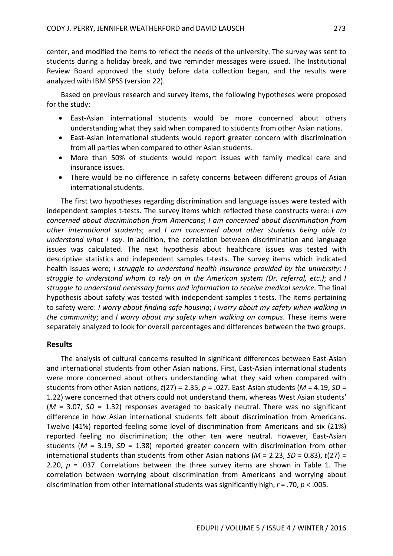center, and modified the items to reflect the needs of the university. The survey was sent to students during a holiday break, and two reminder messages were issued. The Institutional Review Board approved the study before data collection began, and the results were analyzed with IBM SPSS (version 22).

Based on previous research and survey items, the following hypotheses were proposed for the study:

- East-Asian international students would be more concerned about others understanding what they said when compared to students from other Asian nations.
- East-Asian international students would report greater concern with discrimination from all parties when compared to other Asian students.
- More than 50% of students would report issues with family medical care and insurance issues.
- There would be no difference in safety concerns between different groups of Asian international students.

The first two hypotheses regarding discrimination and language issues were tested with independent samples t-tests. The survey items which reflected these constructs were: *I am concerned about discrimination from Americans*; *I am concerned about discrimination from other international students*; and *I am concerned about other students being able to understand what I say*. In addition, the correlation between discrimination and language issues was calculated. The next hypothesis about healthcare issues was tested with descriptive statistics and independent samples t-tests. The survey items which indicated health issues were; *I struggle to understand health insurance provided by the university*; *I struggle to understand whom to rely on in the American system (Dr. referral, etc.)*; and *I struggle to understand necessary forms and information to receive medical service*. The final hypothesis about safety was tested with independent samples t-tests. The items pertaining to safety were: *I worry about finding safe housing*; *I worry about my safety when walking in the community*; and *I worry about my safety when walking on campus*. These items were separately analyzed to look for overall percentages and differences between the two groups.

### **Results**

The analysis of cultural concerns resulted in significant differences between East-Asian and international students from other Asian nations. First, East-Asian international students were more concerned about others understanding what they said when compared with students from other Asian nations, *t*(27) = 2.35, *p* = .027. East-Asian students (*M* = 4.19, *SD* = 1.22) were concerned that others could not understand them, whereas West Asian students' (*M* = 3.07, *SD* = 1.32) responses averaged to basically neutral. There was no significant difference in how Asian international students felt about discrimination from Americans. Twelve (41%) reported feeling some level of discrimination from Americans and six (21%) reported feeling no discrimination; the other ten were neutral. However, East-Asian students ( $M = 3.19$ ,  $SD = 1.38$ ) reported greater concern with discrimination from other international students than students from other Asian nations (*M* = 2.23, *SD* = 0.83), *t*(27) = 2.20,  $p = 0.037$ . Correlations between the three survey items are shown in Table 1. The correlation between worrying about discrimination from Americans and worrying about discrimination from other international students was significantly high, *r* = .70, *p* < .005.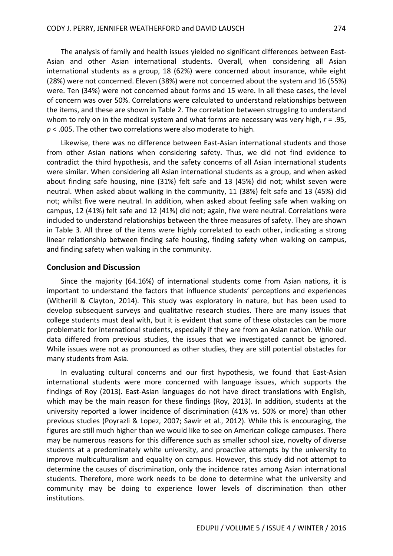The analysis of family and health issues yielded no significant differences between East-Asian and other Asian international students. Overall, when considering all Asian international students as a group, 18 (62%) were concerned about insurance, while eight (28%) were not concerned. Eleven (38%) were not concerned about the system and 16 (55%) were. Ten (34%) were not concerned about forms and 15 were. In all these cases, the level of concern was over 50%. Correlations were calculated to understand relationships between the items, and these are shown in Table 2. The correlation between struggling to understand whom to rely on in the medical system and what forms are necessary was very high, *r* = .95, *p* < .005. The other two correlations were also moderate to high.

Likewise, there was no difference between East-Asian international students and those from other Asian nations when considering safety. Thus, we did not find evidence to contradict the third hypothesis, and the safety concerns of all Asian international students were similar. When considering all Asian international students as a group, and when asked about finding safe housing, nine (31%) felt safe and 13 (45%) did not; whilst seven were neutral. When asked about walking in the community, 11 (38%) felt safe and 13 (45%) did not; whilst five were neutral. In addition, when asked about feeling safe when walking on campus, 12 (41%) felt safe and 12 (41%) did not; again, five were neutral. Correlations were included to understand relationships between the three measures of safety. They are shown in Table 3. All three of the items were highly correlated to each other, indicating a strong linear relationship between finding safe housing, finding safety when walking on campus, and finding safety when walking in the community.

#### **Conclusion and Discussion**

Since the majority (64.16%) of international students come from Asian nations, it is important to understand the factors that influence students' perceptions and experiences (Witherill & Clayton, 2014). This study was exploratory in nature, but has been used to develop subsequent surveys and qualitative research studies. There are many issues that college students must deal with, but it is evident that some of these obstacles can be more problematic for international students, especially if they are from an Asian nation. While our data differed from previous studies, the issues that we investigated cannot be ignored. While issues were not as pronounced as other studies, they are still potential obstacles for many students from Asia.

In evaluating cultural concerns and our first hypothesis, we found that East-Asian international students were more concerned with language issues, which supports the findings of Roy (2013). East-Asian languages do not have direct translations with English, which may be the main reason for these findings (Roy, 2013). In addition, students at the university reported a lower incidence of discrimination (41% vs. 50% or more) than other previous studies (Poyrazli & Lopez, 2007; Sawir et al., 2012). While this is encouraging, the figures are still much higher than we would like to see on American college campuses. There may be numerous reasons for this difference such as smaller school size, novelty of diverse students at a predominately white university, and proactive attempts by the university to improve multiculturalism and equality on campus. However, this study did not attempt to determine the causes of discrimination, only the incidence rates among Asian international students. Therefore, more work needs to be done to determine what the university and community may be doing to experience lower levels of discrimination than other institutions.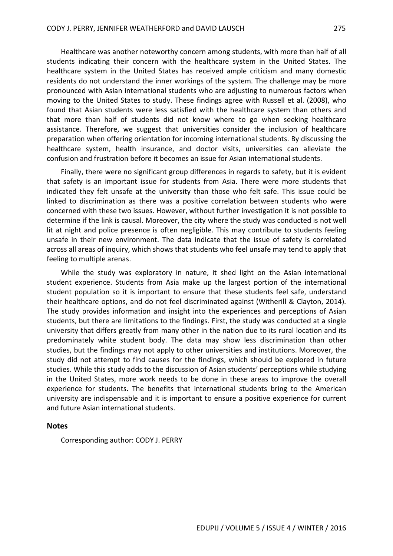Healthcare was another noteworthy concern among students, with more than half of all students indicating their concern with the healthcare system in the United States. The healthcare system in the United States has received ample criticism and many domestic residents do not understand the inner workings of the system. The challenge may be more pronounced with Asian international students who are adjusting to numerous factors when moving to the United States to study. These findings agree with Russell et al. (2008), who found that Asian students were less satisfied with the healthcare system than others and that more than half of students did not know where to go when seeking healthcare assistance. Therefore, we suggest that universities consider the inclusion of healthcare preparation when offering orientation for incoming international students. By discussing the healthcare system, health insurance, and doctor visits, universities can alleviate the confusion and frustration before it becomes an issue for Asian international students.

Finally, there were no significant group differences in regards to safety, but it is evident that safety is an important issue for students from Asia. There were more students that indicated they felt unsafe at the university than those who felt safe. This issue could be linked to discrimination as there was a positive correlation between students who were concerned with these two issues. However, without further investigation it is not possible to determine if the link is causal. Moreover, the city where the study was conducted is not well lit at night and police presence is often negligible. This may contribute to students feeling unsafe in their new environment. The data indicate that the issue of safety is correlated across all areas of inquiry, which shows that students who feel unsafe may tend to apply that feeling to multiple arenas.

While the study was exploratory in nature, it shed light on the Asian international student experience. Students from Asia make up the largest portion of the international student population so it is important to ensure that these students feel safe, understand their healthcare options, and do not feel discriminated against (Witherill & Clayton, 2014). The study provides information and insight into the experiences and perceptions of Asian students, but there are limitations to the findings. First, the study was conducted at a single university that differs greatly from many other in the nation due to its rural location and its predominately white student body. The data may show less discrimination than other studies, but the findings may not apply to other universities and institutions. Moreover, the study did not attempt to find causes for the findings, which should be explored in future studies. While this study adds to the discussion of Asian students' perceptions while studying in the United States, more work needs to be done in these areas to improve the overall experience for students. The benefits that international students bring to the American university are indispensable and it is important to ensure a positive experience for current and future Asian international students.

#### **Notes**

Corresponding author: CODY J. PERRY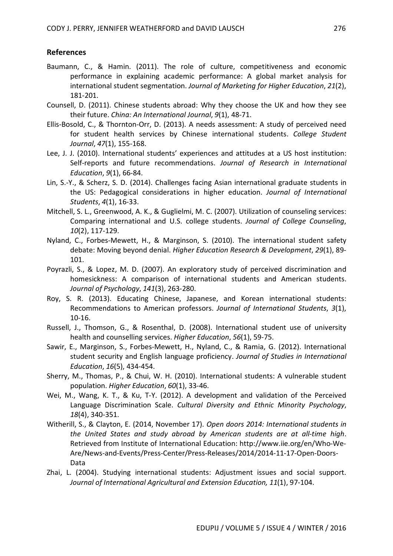### **References**

- Baumann, C., & Hamin. (2011). The role of culture, competitiveness and economic performance in explaining academic performance: A global market analysis for international student segmentation. *Journal of Marketing for Higher Education*, *21*(2), 181-201.
- Counsell, D. (2011). Chinese students abroad: Why they choose the UK and how they see their future. *China: An International Journal*, *9*(1), 48-71.
- Ellis-Bosold, C., & Thornton-Orr, D. (2013). A needs assessment: A study of perceived need for student health services by Chinese international students. *College Student Journal*, *47*(1), 155-168.
- Lee, J. J. (2010). International students' experiences and attitudes at a US host institution: Self-reports and future recommendations. *Journal of Research in International Education*, *9*(1), 66-84.
- Lin, S.-Y., & Scherz, S. D. (2014). Challenges facing Asian international graduate students in the US: Pedagogical considerations in higher education. *Journal of International Students*, *4*(1), 16-33.
- Mitchell, S. L., Greenwood, A. K., & Guglielmi, M. C. (2007). Utilization of counseling services: Comparing international and U.S. college students. *Journal of College Counseling*, *10*(2), 117-129.
- Nyland, C., Forbes-Mewett, H., & Marginson, S. (2010). The international student safety debate: Moving beyond denial. *Higher Education Research & Development*, *29*(1), 89- 101.
- Poyrazli, S., & Lopez, M. D. (2007). An exploratory study of perceived discrimination and homesickness: A comparison of international students and American students. *Journal of Psychology*, *141*(3), 263-280.
- Roy, S. R. (2013). Educating Chinese, Japanese, and Korean international students: Recommendations to American professors. *Journal of International Students*, *3*(1), 10-16.
- Russell, J., Thomson, G., & Rosenthal, D. (2008). International student use of university health and counselling services. *Higher Education*, *56*(1), 59-75.
- Sawir, E., Marginson, S., Forbes-Mewett, H., Nyland, C., & Ramia, G. (2012). International student security and English language proficiency. *Journal of Studies in International Education*, *16*(5), 434-454.
- Sherry, M., Thomas, P., & Chui, W. H. (2010). International students: A vulnerable student population. *Higher Education*, *60*(1), 33-46.
- Wei, M., Wang, K. T., & Ku, T-Y. (2012). A development and validation of the Perceived Language Discrimination Scale. *Cultural Diversity and Ethnic Minority Psychology*, *18*(4), 340-351.
- Witherill, S., & Clayton, E. (2014, November 17). *Open doors 2014: International students in the United States and study abroad by American students are at all-time high*. Retrieved from Institute of International Education: http://www.iie.org/en/Who-We-Are/News-and-Events/Press-Center/Press-Releases/2014/2014-11-17-Open-Doors-Data
- Zhai, L. (2004). Studying international students: Adjustment issues and social support. *Journal of International Agricultural and Extension Education, 11*(1), 97-104.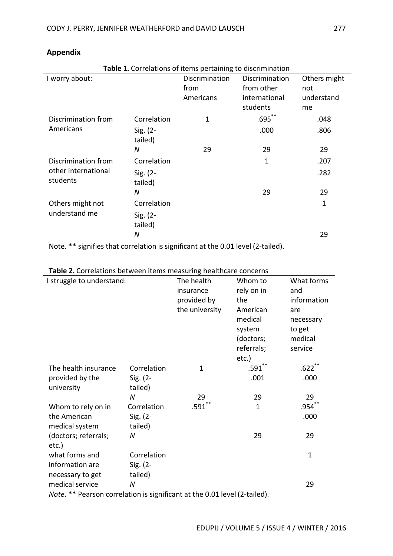| Table 1. Correlations of items pertaining to discrimination |                        |                |                |              |  |
|-------------------------------------------------------------|------------------------|----------------|----------------|--------------|--|
| I worry about:                                              |                        | Discrimination | Discrimination | Others might |  |
|                                                             |                        | from           | from other     | not          |  |
|                                                             |                        | Americans      | international  | understand   |  |
|                                                             |                        |                | students       | me           |  |
| Discrimination from                                         | Correlation            | $\overline{1}$ | $.695^{**}$    | .048         |  |
| Americans                                                   | $Sig. (2 -$<br>tailed) |                | .000           | .806         |  |
|                                                             | N                      | 29             | 29             | 29           |  |
| Discrimination from<br>other international<br>students      | Correlation            |                | 1              | .207         |  |
|                                                             | $Sig. (2 -$<br>tailed) |                |                | .282         |  |
|                                                             | N                      |                | 29             | 29           |  |
| Others might not<br>understand me                           | Correlation            |                |                | $\mathbf{1}$ |  |
|                                                             | $Sig. (2 -$<br>tailed) |                |                |              |  |
|                                                             | N                      |                |                | 29           |  |

## **Appendix**

Note. \*\* signifies that correlation is significant at the 0.01 level (2-tailed).

| <b>Table 2.</b> Correlations between items ineasuring ricalticale concerns<br>I struggle to understand: |             | The health<br>insurance<br>provided by<br>the university | Whom to<br>rely on in<br>the<br>American<br>medical<br>system<br>(doctors;<br>referrals;<br>etc.)<br>$**$ | What forms<br>and<br>information<br>are<br>necessary<br>to get<br>medical<br>service |
|---------------------------------------------------------------------------------------------------------|-------------|----------------------------------------------------------|-----------------------------------------------------------------------------------------------------------|--------------------------------------------------------------------------------------|
| The health insurance                                                                                    | Correlation | $\mathbf{1}$                                             | .591                                                                                                      | .622                                                                                 |
| provided by the                                                                                         | $Sig. (2 -$ |                                                          | .001                                                                                                      | .000                                                                                 |
| university                                                                                              | tailed)     |                                                          |                                                                                                           |                                                                                      |
|                                                                                                         | N           | 29                                                       | 29                                                                                                        | 29                                                                                   |
| Whom to rely on in                                                                                      | Correlation | $.591$ **                                                | $\mathbf{1}$                                                                                              | .954                                                                                 |
| the American                                                                                            | $Sig. (2 -$ |                                                          |                                                                                                           | .000                                                                                 |
| medical system                                                                                          | tailed)     |                                                          |                                                                                                           |                                                                                      |
| (doctors; referrals;                                                                                    | N           |                                                          | 29                                                                                                        | 29                                                                                   |
| etc.)                                                                                                   |             |                                                          |                                                                                                           |                                                                                      |
| what forms and                                                                                          | Correlation |                                                          |                                                                                                           | $\mathbf{1}$                                                                         |
| information are                                                                                         | $Sig. (2 -$ |                                                          |                                                                                                           |                                                                                      |
| necessary to get                                                                                        | tailed)     |                                                          |                                                                                                           |                                                                                      |
| medical service                                                                                         | N           |                                                          |                                                                                                           | 29                                                                                   |

**Table 2.** Correlations between items measuring healthcare concerns

*Note*. \*\* Pearson correlation is significant at the 0.01 level (2-tailed).